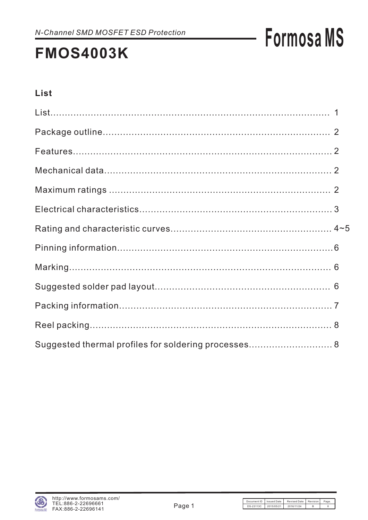## **FMOS4003K**

### **List**

| Suggested thermal profiles for soldering processes 8 |  |
|------------------------------------------------------|--|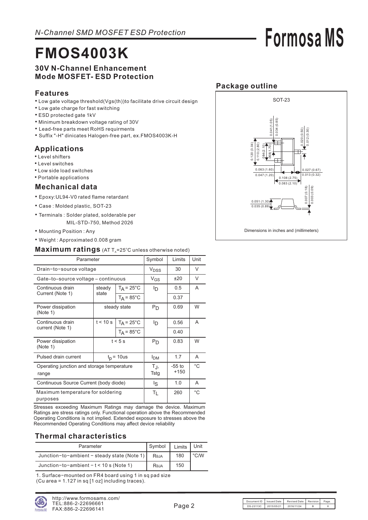## **FMOS4003K**

#### **30V N-Channel Enhancement Mode MOSFET- ESD Protection**

#### **Features**

- Low gate voltage threshold(Vgs(th))to facilitate drive circuit design
- Low gate charge for fast switching
- ESD protected gate 1kV
- Minimum breakdown voltage rating of 30V
- Lead-free parts meet RoHS requirments
- Suffix "-H" dinicates Halogen-free part, ex.FMOS4003K-H

### **Applications**

- Level shifters
- Level switches
- Low side load switches
- Portable applications

#### **Mechanical data**

- Epoxy:UL94-V0 rated flame retardant
- Case : Molded plastic, SOT-23
- Terminals : Solder plated, solderable per MIL-STD-750, Method 2026
- Mounting Position : Any
- Weight : Approximated 0.008 gram

#### Maximum ratings (AT T<sub>A</sub>=25°C unless otherwise noted)

| Parameter                                           | Symbol          | Limits               | Unit                   |      |   |  |  |
|-----------------------------------------------------|-----------------|----------------------|------------------------|------|---|--|--|
| Drain-to-source voltage                             |                 |                      | <b>V<sub>DSS</sub></b> | 30   | V |  |  |
| Gate-to-source voltage - continuous                 |                 |                      | $V_{GS}$               | ±20  | V |  |  |
| Continuous drain                                    | steady<br>state | $T_A = 25^{\circ}C$  | םי                     | 0.5  | A |  |  |
| Current (Note 1)                                    |                 | $T_A = 85^{\circ}$ C |                        | 0.37 |   |  |  |
| Power dissipation<br>(Note 1)                       |                 | steady state         | P <sub>D</sub>         | 0.69 | W |  |  |
| Continuous drain                                    | t < 10 s        | $T_A = 25^{\circ}C$  | lŋ.                    | 0.56 | A |  |  |
| current (Note 1)                                    |                 | $T_A = 85^{\circ}$ C |                        | 0.40 |   |  |  |
| Power dissipation<br>(Note 1)                       |                 | $t < 5$ s            | $P_D$                  | 0.83 | W |  |  |
| Pulsed drain current                                |                 | $t_p$ = 10 us        | Ірм                    | 1.7  | A |  |  |
| Operating junction and storage temperature<br>range | TJ,<br>Tstg     | $-55$ to<br>$+150$   | $^{\circ}C$            |      |   |  |  |
| Continuous Source Current (body diode)              | ls.             | 1.0                  | A                      |      |   |  |  |
| Maximum temperature for soldering<br>purposes       | $T_L$           | 260                  | $^{\circ}C$            |      |   |  |  |

Stresses exceeding Maximum Ratings may damage the device. Maximum Ratings are stress ratings only. Functional operation above the Recommended Operating Conditions is not implied. Extended exposure to stresses above the Recommended Operating Conditions may affect device reliability

#### **Thermal characteristics**

| Parameter                                   | Symbol | Limits | Unit          |
|---------------------------------------------|--------|--------|---------------|
| Junction-to-ambient - steady state (Note 1) | Reja   | 180    | $\degree$ C/W |
| Junction-to-ambient $-t < 10$ s (Note 1)    | Reja   | 150    |               |

1. Surface−mounted on FR4 board using 1 in sq pad size (Cu area = 1.127 in sq [1 oz] including traces).

### **Package outline**

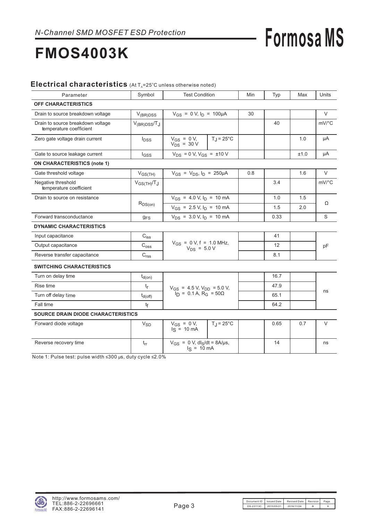## **FMOS4003K**

#### Electrical characteristics (At T<sub>A</sub>=25°C unless otherwise noted)

| Parameter                                                    | Symbol                | <b>Test Condition</b>                                                              |                     | Min | Typ  | Max  | Units  |
|--------------------------------------------------------------|-----------------------|------------------------------------------------------------------------------------|---------------------|-----|------|------|--------|
| <b>OFF CHARACTERISTICS</b>                                   |                       |                                                                                    |                     |     |      |      |        |
| Drain to source breakdown voltage                            | $V_{(BR)DSS}$         | $V_{GS} = 0 V, I_D = 100 \mu A$                                                    |                     | 30  |      |      | V      |
| Drain to source breakdown voltage<br>temperature coefficient | $V_{(BR)DSS}/T_J$     |                                                                                    |                     |     | 40   |      | mV/°C  |
| Zero gate voltage drain current                              | $I_{DSS}$             | $V_{GS} = 0 V,$<br>$V_{DS}$ = 30 V                                                 | $T_J = 25^{\circ}C$ |     |      | 1.0  | μA     |
| Gate to source leakage current                               | $I_{GSS}$             | $V_{DS} = 0 V, V_{GS} = \pm 10 V$                                                  |                     |     |      | ±1.0 | μA     |
| <b>ON CHARACTERISTICS (note 1)</b>                           |                       |                                                                                    |                     |     |      |      |        |
| Gate threshold voltage                                       | $V_{GS(TH)}$          | $V_{GS} = V_{DS}$ , $I_D = 250 \mu A$                                              |                     | 0.8 |      | 1.6  | $\vee$ |
| Negative threshold<br>temperature coefficient                | $V_{GS(TH)}/T_J$      |                                                                                    |                     |     | 3.4  |      | mV/°C  |
| Drain to source on resistance                                |                       | $V_{GS}$ = 4.0 V, $I_D$ = 10 mA                                                    |                     |     | 1.0  | 1.5  |        |
|                                                              | $R_{DS(on)}$          | $V_{GS}$ = 2.5 V, $I_D$ = 10 mA                                                    |                     |     | 1.5  | 2.0  | Ω      |
| Forward transconductance                                     | <b>g<sub>FS</sub></b> | $V_{DS}$ = 3.0 V, $I_D$ = 10 mA                                                    |                     |     | 0.33 |      | S      |
| <b>DYNAMIC CHARACTERISTICS</b>                               |                       |                                                                                    |                     |     |      |      |        |
| Input capacitance                                            | $C_{\text{iss}}$      |                                                                                    |                     |     | 41   |      |        |
| Output capacitance                                           | $\mathrm{C_{oss}}$    | $V_{GS} = 0 V, f = 1.0 MHz,$<br>$V_{DS}$ = 5.0 V                                   |                     |     | 12   |      | pF     |
| Reverse transfer capacitance                                 | $\mathrm{C_{rss}}$    |                                                                                    |                     |     | 8.1  |      |        |
| <b>SWITCHING CHARACTERISTICS</b>                             |                       |                                                                                    |                     |     |      |      |        |
| Turn on delay time                                           | $t_{d(on)}$           |                                                                                    |                     |     | 16.7 |      |        |
| Rise time                                                    | $t_{\mathsf{r}}$      |                                                                                    |                     |     | 47.9 |      |        |
| Turn off delay time                                          | $t_{d(\text{off})}$   | $V_{GS}$ = 4.5 V, $V_{DD}$ = 5.0 V,<br>$I_D$ = 0.1 A, R <sub>G</sub> = 50 $\Omega$ |                     |     | 65.1 |      | ns     |
| Fall time                                                    | tf                    |                                                                                    |                     |     | 64.2 |      |        |
| <b>SOURCE DRAIN DIODE CHARACTERISTICS</b>                    |                       |                                                                                    |                     |     |      |      |        |
| Forward diode voltage                                        | $V_{SD}$              | $V_{GS} = 0 V,$<br>$lg = 10 mA$                                                    | $T_J = 25^{\circ}C$ |     | 0.65 | 0.7  | V      |
| Reverse recovery time                                        | $t_{rr}$              | $V_{GS} = 0$ V, dl <sub>S</sub> /dt = 8A/µs,<br>$I_S = 10 \text{ mA}$              |                     |     | 14   |      | ns     |

Note 1: Pulse test: pulse width  $\leq 300$   $\mu$ s, duty cycle  $\leq 2.0\%$ 

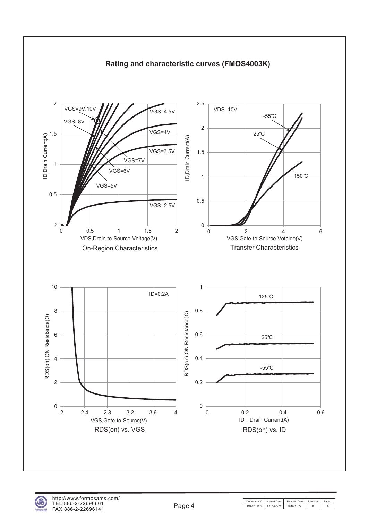

#### **Rating and characteristic curves (FMOS4003K)**

Document ID | Issued Date | Revised Date | Revision | Pag DS-23113C 2015/05/21 2016/11/24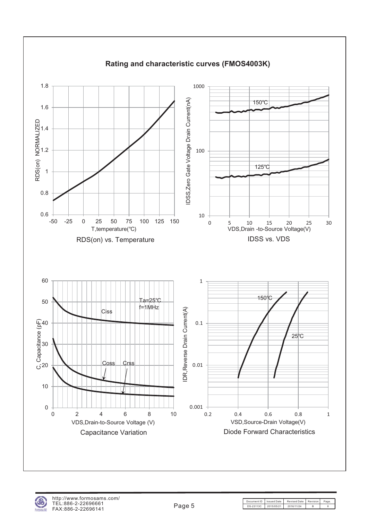

http://www.formosams.com/ TEL:886-2-22696661 FAX:886-2-22696141

Document ID Issued Date Revised Date Revision Page<br>DS-23113C 2015/05/21 2016/11/24 B 8 DS-23113C 2015/05/21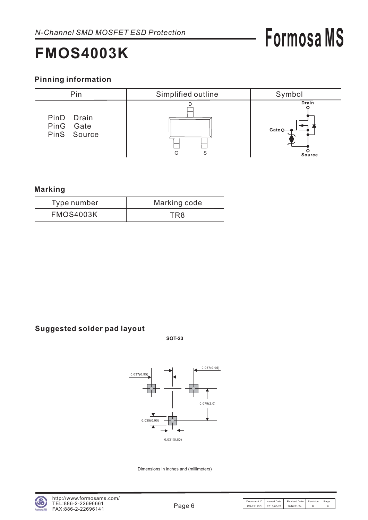## **FMOS4003K**

#### **Pinning information**



#### **Marking**

| Type number      | Marking code |
|------------------|--------------|
| <b>FMOS4003K</b> | TR8          |

#### **Suggested solder pad layout**

**SOT-23**



Dimensions in inches and (millimeters)

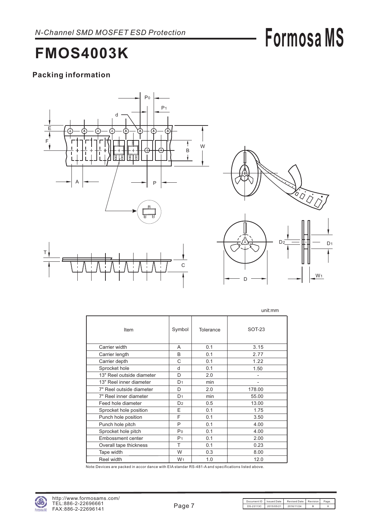## **FMOS4003K**

### **Packing information**





D

|                           |                |           | unit:mm |
|---------------------------|----------------|-----------|---------|
| Item                      | Symbol         | Tolerance | SOT-23  |
| Carrier width             | A              | 0.1       | 3.15    |
| Carrier length            | B              | 0.1       | 2.77    |
| Carrier depth             | C              | 0.1       | 1.22    |
| Sprocket hole             | d              | 0.1       | 1.50    |
| 13" Reel outside diameter | D              | 2.0       |         |
| 13" Reel inner diameter   | D <sub>1</sub> | min       |         |
| 7" Reel outside diameter  | D              | 2.0       | 178.00  |
| 7" Reel inner diameter    | D <sub>1</sub> | min       | 55.00   |
| Feed hole diameter        | D <sub>2</sub> | 0.5       | 13.00   |
| Sprocket hole position    | E              | 0.1       | 1.75    |
| Punch hole position       | F              | 0.1       | 3.50    |
| Punch hole pitch          | P              | 0.1       | 4.00    |
| Sprocket hole pitch       | P <sub>0</sub> | 0.1       | 4.00    |
| <b>Embossment center</b>  | P <sub>1</sub> | 0.1       | 2.00    |
| Overall tape thickness    | T              | 0.1       | 0.23    |
| Tape width                | W              | 0.3       | 8.00    |
| Reel width                | W <sub>1</sub> | 1.0       | 12.0    |

Note:Devices are packed in accor dance with EIA standar RS-481-A and specifications listed above.